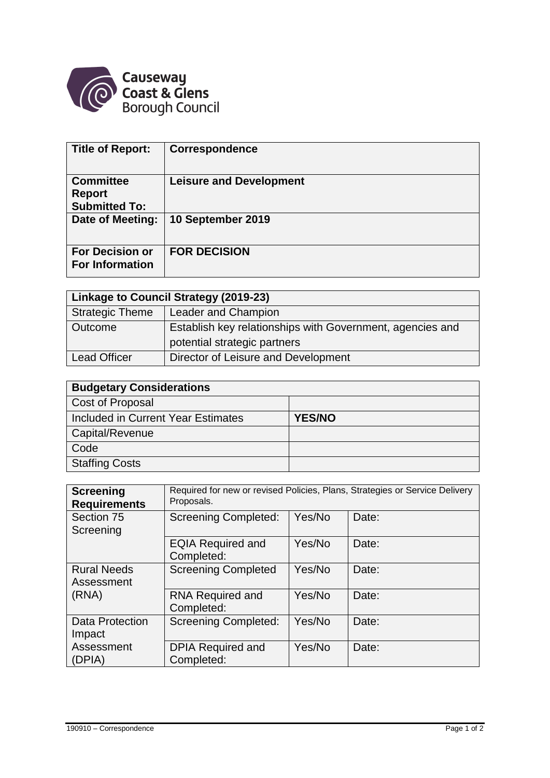

| <b>Title of Report:</b>                                   | <b>Correspondence</b>          |
|-----------------------------------------------------------|--------------------------------|
| <b>Committee</b><br><b>Report</b><br><b>Submitted To:</b> | <b>Leisure and Development</b> |
| Date of Meeting:                                          | 10 September 2019              |
| <b>For Decision or</b><br><b>For Information</b>          | <b>FOR DECISION</b>            |

| Linkage to Council Strategy (2019-23) |                                                           |  |  |  |
|---------------------------------------|-----------------------------------------------------------|--|--|--|
| <b>Strategic Theme</b>                | Leader and Champion                                       |  |  |  |
| Outcome                               | Establish key relationships with Government, agencies and |  |  |  |
|                                       | potential strategic partners                              |  |  |  |
| <b>Lead Officer</b>                   | Director of Leisure and Development                       |  |  |  |

| <b>Budgetary Considerations</b>    |               |  |  |  |
|------------------------------------|---------------|--|--|--|
| Cost of Proposal                   |               |  |  |  |
| Included in Current Year Estimates | <b>YES/NO</b> |  |  |  |
| Capital/Revenue                    |               |  |  |  |
| Code                               |               |  |  |  |
| <b>Staffing Costs</b>              |               |  |  |  |

| <b>Screening</b><br><b>Requirements</b> | Required for new or revised Policies, Plans, Strategies or Service Delivery<br>Proposals. |        |       |  |
|-----------------------------------------|-------------------------------------------------------------------------------------------|--------|-------|--|
| Section 75<br>Screening                 | <b>Screening Completed:</b>                                                               | Yes/No | Date: |  |
|                                         | <b>EQIA Required and</b><br>Completed:                                                    | Yes/No | Date: |  |
| <b>Rural Needs</b><br>Assessment        | <b>Screening Completed</b>                                                                | Yes/No | Date: |  |
| (RNA)                                   | <b>RNA Required and</b><br>Completed:                                                     | Yes/No | Date: |  |
| Data Protection<br>Impact               | <b>Screening Completed:</b>                                                               | Yes/No | Date: |  |
| Assessment<br>(DPIA)                    | <b>DPIA Required and</b><br>Completed:                                                    | Yes/No | Date: |  |